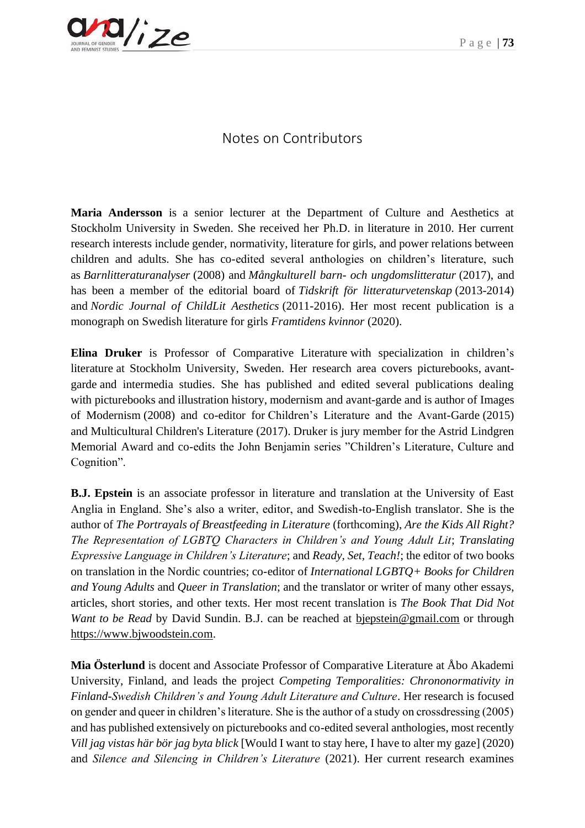

## Notes on Contributors

**Maria Andersson** is a senior lecturer at the Department of Culture and Aesthetics at Stockholm University in Sweden. She received her Ph.D. in literature in 2010. Her current research interests include gender, normativity, literature for girls, and power relations between children and adults. She has co-edited several anthologies on children's literature, such as *Barnlitteraturanalyser* (2008) and *Mångkulturell barn- och ungdomslitteratur* (2017), and has been a member of the editorial board of *Tidskrift för litteraturvetenskap* (2013-2014) and *Nordic Journal of ChildLit Aesthetics* (2011-2016). Her most recent publication is a monograph on Swedish literature for girls *Framtidens kvinnor* (2020).

**Elina Druker** is Professor of Comparative Literature with specialization in children's literature at Stockholm University, Sweden. Her research area covers picturebooks, avantgarde and intermedia studies. She has published and edited several publications dealing with picturebooks and illustration history, modernism and avant-garde and is author of Images of Modernism (2008) and co-editor for Children's Literature and the Avant-Garde (2015) and Multicultural Children's Literature (2017). Druker is jury member for the Astrid Lindgren Memorial Award and co-edits the John Benjamin series "Children's Literature, Culture and Cognition".

**B.J. Epstein** is an associate professor in literature and translation at the University of East Anglia in England. She's also a writer, editor, and Swedish-to-English translator. She is the author of *The Portrayals of Breastfeeding in Literature* (forthcoming), *Are the Kids All Right? The Representation of LGBTQ Characters in Children's and Young Adult Lit*; *Translating Expressive Language in Children's Literature*; and *Ready, Set, Teach!*; the editor of two books on translation in the Nordic countries; co-editor of *International LGBTQ+ Books for Children and Young Adults* and *Queer in Translation*; and the translator or writer of many other essays, articles, short stories, and other texts. Her most recent translation is *The Book That Did Not Want to be Read* by David Sundin. B.J. can be reached at biepstein@gmail.com or through [https://www.bjwoodstein.com.](https://www.bjwoodstein.com/)

**Mia Österlund** is docent and Associate Professor of Comparative Literature at Åbo Akademi University, Finland, and leads the project *Competing Temporalities: Chrononormativity in Finland-Swedish Children's and Young Adult Literature and Culture*. Her research is focused on gender and queer in children's literature. She is the author of a study on crossdressing (2005) and has published extensively on picturebooks and co-edited several anthologies, most recently *Vill jag vistas här bör jag byta blick* [Would I want to stay here, I have to alter my gaze] (2020) and *Silence and Silencing in Children's Literature* (2021). Her current research examines